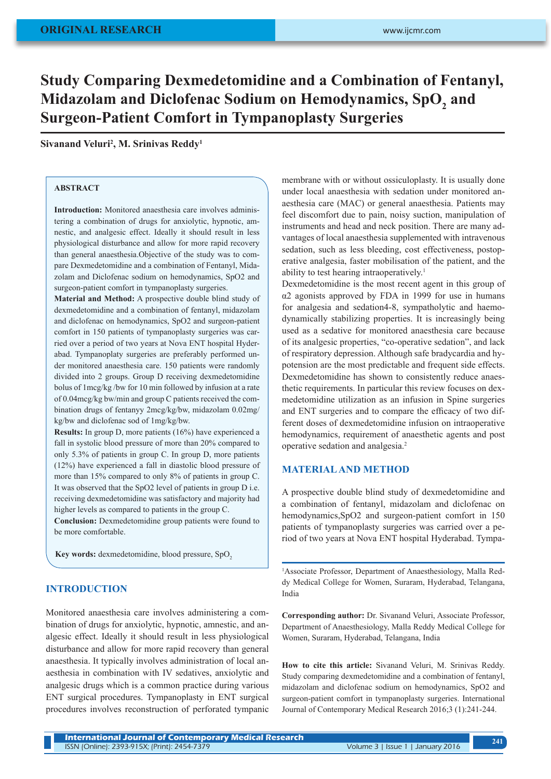# **Study Comparing Dexmedetomidine and a Combination of Fentanyl,**  Midazolam and Diclofenac Sodium on Hemodynamics, SpO<sub>2</sub> and **Surgeon-Patient Comfort in Tympanoplasty Surgeries**

# **Sivanand Veluri2 , M. Srinivas Reddy1**

# **ABSTRACT**

**Introduction:** Monitored anaesthesia care involves administering a combination of drugs for anxiolytic, hypnotic, amnestic, and analgesic effect. Ideally it should result in less physiological disturbance and allow for more rapid recovery than general anaesthesia.Objective of the study was to compare Dexmedetomidine and a combination of Fentanyl, Midazolam and Diclofenac sodium on hemodynamics, SpO2 and surgeon-patient comfort in tympanoplasty surgeries.

**Material and Method:** A prospective double blind study of dexmedetomidine and a combination of fentanyl, midazolam and diclofenac on hemodynamics, SpO2 and surgeon-patient comfort in 150 patients of tympanoplasty surgeries was carried over a period of two years at Nova ENT hospital Hyderabad. Tympanoplaty surgeries are preferably performed under monitored anaesthesia care. 150 patients were randomly divided into 2 groups. Group D receiving dexmedetomidine bolus of 1mcg/kg /bw for 10 min followed by infusion at a rate of 0.04mcg/kg bw/min and group C patients received the combination drugs of fentanyy 2mcg/kg/bw, midazolam 0.02mg/ kg/bw and diclofenac sod of 1mg/kg/bw.

**Results:** In group D, more patients (16%) have experienced a fall in systolic blood pressure of more than 20% compared to only 5.3% of patients in group C. In group D, more patients (12%) have experienced a fall in diastolic blood pressure of more than 15% compared to only 8% of patients in group C. It was observed that the SpO2 level of patients in group D i.e. receiving dexmedetomidine was satisfactory and majority had higher levels as compared to patients in the group C.

**Conclusion:** Dexmedetomidine group patients were found to be more comfortable.

Key words: dexmedetomidine, blood pressure, SpO<sub>2</sub>

#### **INTRODUCTION**

Monitored anaesthesia care involves administering a combination of drugs for anxiolytic, hypnotic, amnestic, and analgesic effect. Ideally it should result in less physiological disturbance and allow for more rapid recovery than general anaesthesia. It typically involves administration of local anaesthesia in combination with IV sedatives, anxiolytic and analgesic drugs which is a common practice during various ENT surgical procedures. Tympanoplasty in ENT surgical procedures involves reconstruction of perforated tympanic membrane with or without ossiculoplasty. It is usually done under local anaesthesia with sedation under monitored anaesthesia care (MAC) or general anaesthesia. Patients may feel discomfort due to pain, noisy suction, manipulation of instruments and head and neck position. There are many advantages of local anaesthesia supplemented with intravenous sedation, such as less bleeding, cost effectiveness, postoperative analgesia, faster mobilisation of the patient, and the ability to test hearing intraoperatively.1

Dexmedetomidine is the most recent agent in this group of α2 agonists approved by FDA in 1999 for use in humans for analgesia and sedation4-8, sympatholytic and haemodynamically stabilizing properties. It is increasingly being used as a sedative for monitored anaesthesia care because of its analgesic properties, "co-operative sedation", and lack of respiratory depression. Although safe bradycardia and hypotension are the most predictable and frequent side effects. Dexmedetomidine has shown to consistently reduce anaesthetic requirements. In particular this review focuses on dexmedetomidine utilization as an infusion in Spine surgeries and ENT surgeries and to compare the efficacy of two different doses of dexmedetomidine infusion on intraoperative hemodynamics, requirement of anaesthetic agents and post operative sedation and analgesia.2

### **MATERIAL AND METHOD**

A prospective double blind study of dexmedetomidine and a combination of fentanyl, midazolam and diclofenac on hemodynamics,SpO2 and surgeon-patient comfort in 150 patients of tympanoplasty surgeries was carried over a period of two years at Nova ENT hospital Hyderabad. Tympa-

<sup>1</sup>Associate Professor, Department of Anaesthesiology, Malla Reddy Medical College for Women, Suraram, Hyderabad, Telangana, India

**Corresponding author:** Dr. Sivanand Veluri, Associate Professor, Department of Anaesthesiology, Malla Reddy Medical College for Women, Suraram, Hyderabad, Telangana, India

**How to cite this article:** Sivanand Veluri, M. Srinivas Reddy. Study comparing dexmedetomidine and a combination of fentanyl, midazolam and diclofenac sodium on hemodynamics, SpO2 and surgeon-patient comfort in tympanoplasty surgeries. International Journal of Contemporary Medical Research 2016;3 (1):241-244.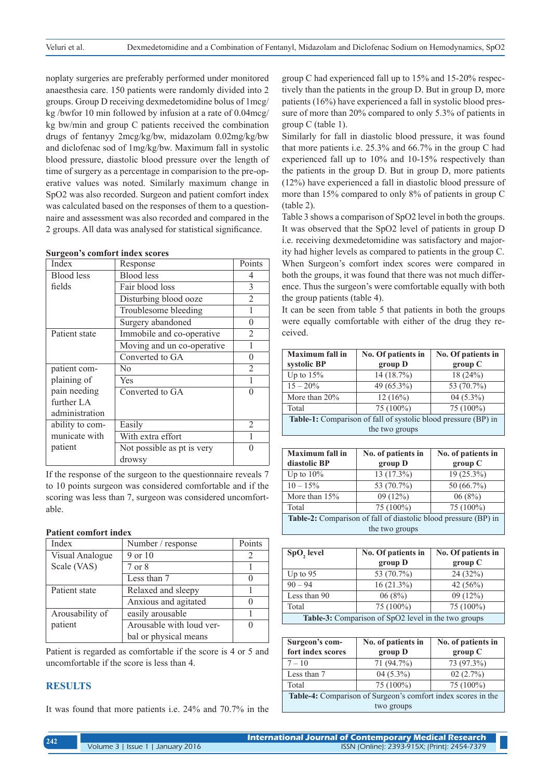noplaty surgeries are preferably performed under monitored anaesthesia care. 150 patients were randomly divided into 2 groups. Group D receiving dexmedetomidine bolus of 1mcg/ kg /bwfor 10 min followed by infusion at a rate of 0.04mcg/ kg bw/min and group C patients received the combination drugs of fentanyy 2mcg/kg/bw, midazolam 0.02mg/kg/bw and diclofenac sod of 1mg/kg/bw. Maximum fall in systolic blood pressure, diastolic blood pressure over the length of time of surgery as a percentage in comparision to the pre-operative values was noted. Similarly maximum change in SpO2 was also recorded. Surgeon and patient comfort index was calculated based on the responses of them to a questionnaire and assessment was also recorded and compared in the 2 groups. All data was analysed for statistical significance.

| Index             | Response                   | Points   |
|-------------------|----------------------------|----------|
| <b>Blood</b> less | <b>Blood</b> less          | 4        |
| fields            | Fair blood loss            | 3        |
|                   | Disturbing blood ooze      | 2        |
|                   | Troublesome bleeding       |          |
|                   | Surgery abandoned          | $\Omega$ |
| Patient state     | Immobile and co-operative  | 2        |
|                   | Moving and un co-operative |          |
|                   | Converted to GA            | $\theta$ |
| patient com-      | N <sub>0</sub>             | 2        |
| plaining of       | Yes                        | 1        |
| pain needing      | Converted to GA            | $\theta$ |
| further LA        |                            |          |
| administration    |                            |          |
| ability to com-   | Easily                     | 2        |
| municate with     | With extra effort          |          |
| patient           | Not possible as pt is very | ∩        |
|                   | drowsy                     |          |

**Surgeon's comfort index scores**

If the response of the surgeon to the questionnaire reveals 7 to 10 points surgeon was considered comfortable and if the scoring was less than 7, surgeon was considered uncomfortable.

#### **Patient comfort index**

| Index           | Number / response        | Points |
|-----------------|--------------------------|--------|
| Visual Analogue | 9 or 10                  |        |
| Scale (VAS)     | 7 or 8                   |        |
|                 | Less than 7              |        |
| Patient state   | Relaxed and sleepy       |        |
|                 | Anxious and agitated     |        |
| Arousability of | easily arousable         |        |
| patient         | Arousable with loud ver- |        |
|                 | bal or physical means    |        |

Patient is regarded as comfortable if the score is 4 or 5 and uncomfortable if the score is less than 4.

# **RESULTS**

It was found that more patients i.e. 24% and 70.7% in the

group C had experienced fall up to 15% and 15-20% respectively than the patients in the group D. But in group D, more patients (16%) have experienced a fall in systolic blood pressure of more than 20% compared to only 5.3% of patients in group C (table 1).

Similarly for fall in diastolic blood pressure, it was found that more patients i.e. 25.3% and 66.7% in the group C had experienced fall up to 10% and 10-15% respectively than the patients in the group D. But in group D, more patients (12%) have experienced a fall in diastolic blood pressure of more than 15% compared to only 8% of patients in group C (table 2).

Table 3 shows a comparison of SpO2 level in both the groups. It was observed that the SpO2 level of patients in group D i.e. receiving dexmedetomidine was satisfactory and majority had higher levels as compared to patients in the group C. When Surgeon's comfort index scores were compared in both the groups, it was found that there was not much difference. Thus the surgeon's were comfortable equally with both the group patients (table 4).

It can be seen from table 5 that patients in both the groups were equally comfortable with either of the drug they received.

| <b>Maximum</b> fall in                                         | No. Of patients in | No. Of patients in |
|----------------------------------------------------------------|--------------------|--------------------|
| systolic BP                                                    | group D            | group C            |
| Up to $15%$                                                    | 14 (18.7%)         | 18(24%)            |
| $15 - 20\%$                                                    | 49 (65.3%)         | 53 (70.7%)         |
| More than $20\%$                                               | 12(16%)            | 04 $(5.3\%)$       |
| Total                                                          | 75 (100%)          | 75 (100%)          |
| Table-1: Comparison of fall of systolic blood pressure (BP) in |                    |                    |
| the two groups                                                 |                    |                    |
|                                                                |                    |                    |

| <b>Maximum</b> fall in                                          | No. of patients in | No. of patients in |
|-----------------------------------------------------------------|--------------------|--------------------|
| diastolic BP                                                    | group D            | group C            |
| Up to $10\%$                                                    | 13 (17.3%)         | $19(25.3\%)$       |
| $10 - 15\%$                                                     | 53 (70.7%)         | 50 (66.7%)         |
| More than $15%$                                                 | 09(12%)            | 06(8%)             |
| Total                                                           | 75 (100%)          | 75 (100%)          |
| Table-2: Comparison of fall of diastolic blood pressure (BP) in |                    |                    |
| the two groups                                                  |                    |                    |

| SpO <sub>2</sub> level                              | No. Of patients in | No. Of patients in |
|-----------------------------------------------------|--------------------|--------------------|
|                                                     | group D            | group C            |
| Up to $95$                                          | 53 (70.7%)         | 24(32%)            |
| $90 - 94$                                           | $16(21.3\%)$       | 42 $(56%)$         |
| Less than 90                                        | 06(8%)             | 09(12%)            |
| Total                                               | 75 (100%)          | 75 (100%)          |
| Table-3: Comparison of SpO2 level in the two groups |                    |                    |

| Surgeon's com-                                               | No. of patients in | No. of patients in |
|--------------------------------------------------------------|--------------------|--------------------|
| fort index scores                                            | group D            | group C            |
| $7 - 10$                                                     | 71 (94.7%)         | 73 (97.3%)         |
| Less than 7                                                  | $04(5.3\%)$        | 02(2.7%)           |
| Total                                                        | 75 (100%)          | 75 (100%)          |
| Table-4: Comparison of Surgeon's comfort index scores in the |                    |                    |
| two groups                                                   |                    |                    |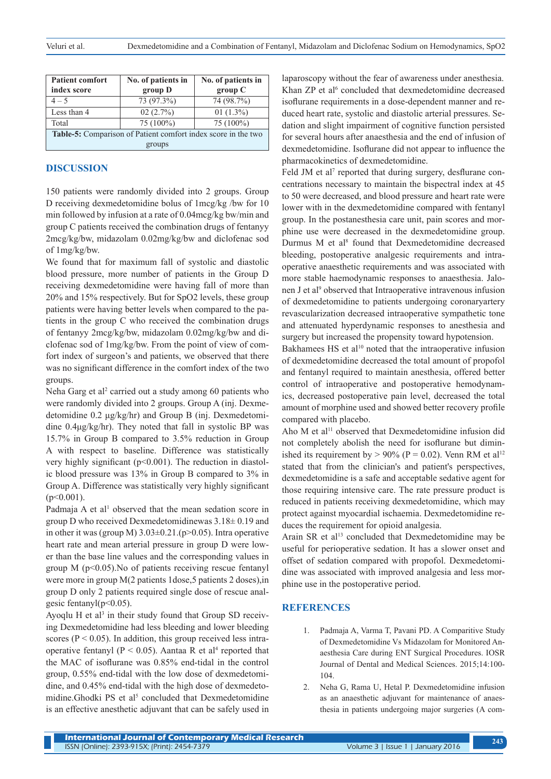| <b>Patient comfort</b>                                        | No. of patients in | No. of patients in |
|---------------------------------------------------------------|--------------------|--------------------|
| index score                                                   | group D            | group C            |
| $4 - 5$                                                       | 73 (97.3%)         | 74 (98.7%)         |
| Less than 4                                                   | 02(2.7%)           | 01 $(1.3\%)$       |
| Total                                                         | 75 (100%)          | 75 (100%)          |
| Table-5: Comparison of Patient comfort index score in the two |                    |                    |
| groups                                                        |                    |                    |

#### **DISCUSSION**

150 patients were randomly divided into 2 groups. Group D receiving dexmedetomidine bolus of 1mcg/kg /bw for 10 min followed by infusion at a rate of 0.04mcg/kg bw/min and group C patients received the combination drugs of fentanyy 2mcg/kg/bw, midazolam 0.02mg/kg/bw and diclofenac sod of 1mg/kg/bw.

We found that for maximum fall of systolic and diastolic blood pressure, more number of patients in the Group D receiving dexmedetomidine were having fall of more than 20% and 15% respectively. But for SpO2 levels, these group patients were having better levels when compared to the patients in the group C who received the combination drugs of fentanyy 2mcg/kg/bw, midazolam 0.02mg/kg/bw and diclofenac sod of 1mg/kg/bw. From the point of view of comfort index of surgeon's and patients, we observed that there was no significant difference in the comfort index of the two groups.

Neha Garg et al<sup>2</sup> carried out a study among 60 patients who were randomly divided into 2 groups. Group A (inj. Dexmedetomidine 0.2 μg/kg/hr) and Group B (inj. Dexmedetomidine 0.4μg/kg/hr). They noted that fall in systolic BP was 15.7% in Group B compared to 3.5% reduction in Group A with respect to baseline. Difference was statistically very highly significant ( $p<0.001$ ). The reduction in diastolic blood pressure was 13% in Group B compared to 3% in Group A. Difference was statistically very highly significant  $(p<0.001)$ .

Padmaja A et al<sup>1</sup> observed that the mean sedation score in group D who received Dexmedetomidinewas 3.18± 0.19 and in other it was (group M)  $3.03\pm0.21(p>0.05)$ . Intra operative heart rate and mean arterial pressure in group D were lower than the base line values and the corresponding values in group  $M$  ( $p<0.05$ ). No of patients receiving rescue fentanyl were more in group M(2 patients 1dose,5 patients 2 doses),in group D only 2 patients required single dose of rescue analgesic fentanyl $(p<0.05)$ .

Ayoqlu H et al<sup>3</sup> in their study found that Group SD receiving Dexmedetomidine had less bleeding and lower bleeding scores ( $P < 0.05$ ). In addition, this group received less intraoperative fentanyl ( $P < 0.05$ ). Aantaa R et al<sup>4</sup> reported that the MAC of isoflurane was 0.85% end-tidal in the control group, 0.55% end-tidal with the low dose of dexmedetomidine, and 0.45% end-tidal with the high dose of dexmedetomidine.Ghodki PS et al<sup>5</sup> concluded that Dexmedetomidine is an effective anesthetic adjuvant that can be safely used in

laparoscopy without the fear of awareness under anesthesia. Khan ZP et al<sup>6</sup> concluded that dexmedetomidine decreased isoflurane requirements in a dose-dependent manner and reduced heart rate, systolic and diastolic arterial pressures. Sedation and slight impairment of cognitive function persisted for several hours after anaesthesia and the end of infusion of dexmedetomidine. Isoflurane did not appear to influence the pharmacokinetics of dexmedetomidine.

Feld JM et al<sup>7</sup> reported that during surgery, desflurane concentrations necessary to maintain the bispectral index at 45 to 50 were decreased, and blood pressure and heart rate were lower with in the dexmedetomidine compared with fentanyl group. In the postanesthesia care unit, pain scores and morphine use were decreased in the dexmedetomidine group. Durmus M et al<sup>8</sup> found that Dexmedetomidine decreased bleeding, postoperative analgesic requirements and intraoperative anaesthetic requirements and was associated with more stable haemodynamic responses to anaesthesia. Jalonen J et al<sup>9</sup> observed that Intraoperative intravenous infusion of dexmedetomidine to patients undergoing coronaryartery revascularization decreased intraoperative sympathetic tone and attenuated hyperdynamic responses to anesthesia and surgery but increased the propensity toward hypotension.

Bakhamees HS et al<sup>10</sup> noted that the intraoperative infusion of dexmedetomidine decreased the total amount of propofol and fentanyl required to maintain anesthesia, offered better control of intraoperative and postoperative hemodynamics, decreased postoperative pain level, decreased the total amount of morphine used and showed better recovery profile compared with placebo.

Aho M et al<sup>11</sup> observed that Dexmedetomidine infusion did not completely abolish the need for isoflurane but diminished its requirement by  $> 90\%$  (P = 0.02). Venn RM et al<sup>12</sup> stated that from the clinician's and patient's perspectives, dexmedetomidine is a safe and acceptable sedative agent for those requiring intensive care. The rate pressure product is reduced in patients receiving dexmedetomidine, which may protect against myocardial ischaemia. Dexmedetomidine reduces the requirement for opioid analgesia.

Arain SR et al<sup>13</sup> concluded that Dexmedetomidine may be useful for perioperative sedation. It has a slower onset and offset of sedation compared with propofol. Dexmedetomidine was associated with improved analgesia and less morphine use in the postoperative period.

### **REFERENCES**

- 1. Padmaja A, Varma T, Pavani PD. A Comparitive Study of Dexmedetomidine Vs Midazolam for Monitored Anaesthesia Care during ENT Surgical Procedures. IOSR Journal of Dental and Medical Sciences. 2015;14:100- 104.
- 2. Neha G, Rama U, Hetal P. Dexmedetomidine infusion as an anaesthetic adjuvant for maintenance of anaesthesia in patients undergoing major surgeries (A com-